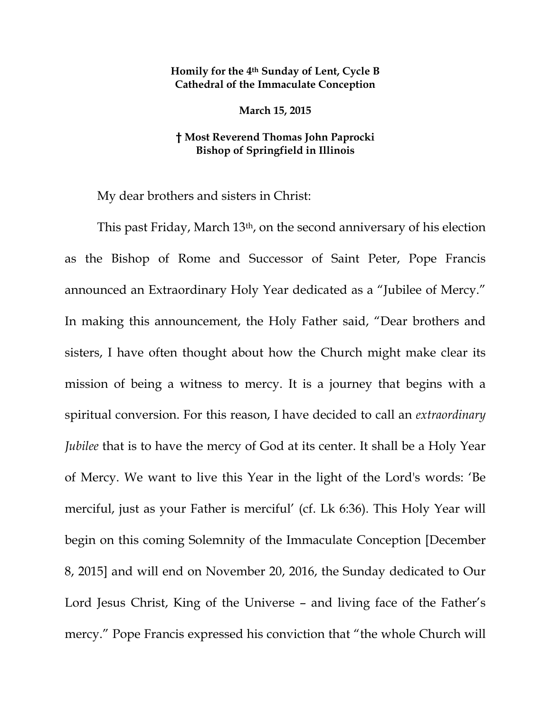## **Homily for the 4th Sunday of Lent, Cycle B Cathedral of the Immaculate Conception**

**March 15, 2015** 

## **† Most Reverend Thomas John Paprocki Bishop of Springfield in Illinois**

My dear brothers and sisters in Christ:

This past Friday, March 13th, on the second anniversary of his election as the Bishop of Rome and Successor of Saint Peter, Pope Francis announced an Extraordinary Holy Year dedicated as a "Jubilee of Mercy." In making this announcement, the Holy Father said, "Dear brothers and sisters, I have often thought about how the Church might make clear its mission of being a witness to mercy. It is a journey that begins with a spiritual conversion. For this reason, I have decided to call an *extraordinary Jubilee* that is to have the mercy of God at its center. It shall be a Holy Year of Mercy. We want to live this Year in the light of the Lord's words: 'Be merciful, just as your Father is merciful' (cf. Lk 6:36). This Holy Year will begin on this coming Solemnity of the Immaculate Conception [December 8, 2015] and will end on November 20, 2016, the Sunday dedicated to Our Lord Jesus Christ, King of the Universe – and living face of the Father's mercy." Pope Francis expressed his conviction that "the whole Church will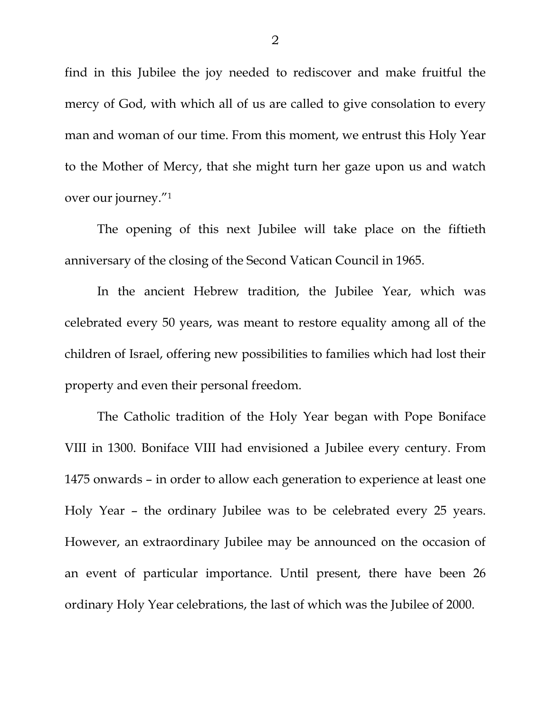find in this Jubilee the joy needed to rediscover and make fruitful the mercy of God, with which all of us are called to give consolation to every man and woman of our time. From this moment, we entrust this Holy Year to the Mother of Mercy, that she might turn her gaze upon us and watch over our journey."1

The opening of this next Jubilee will take place on the fiftieth anniversary of the closing of the Second Vatican Council in 1965.

In the ancient Hebrew tradition, the Jubilee Year, which was celebrated every 50 years, was meant to restore equality among all of the children of Israel, offering new possibilities to families which had lost their property and even their personal freedom.

The Catholic tradition of the Holy Year began with Pope Boniface VIII in 1300. Boniface VIII had envisioned a Jubilee every century. From 1475 onwards – in order to allow each generation to experience at least one Holy Year – the ordinary Jubilee was to be celebrated every 25 years. However, an extraordinary Jubilee may be announced on the occasion of an event of particular importance. Until present, there have been 26 ordinary Holy Year celebrations, the last of which was the Jubilee of 2000.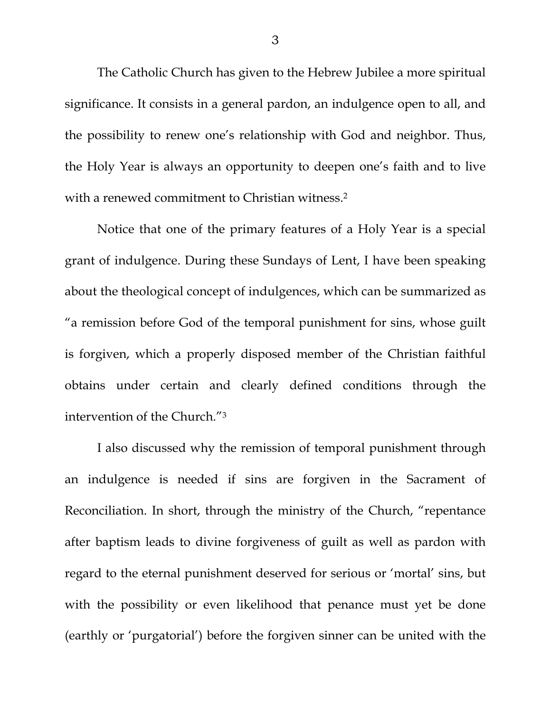The Catholic Church has given to the Hebrew Jubilee a more spiritual significance. It consists in a general pardon, an indulgence open to all, and the possibility to renew one's relationship with God and neighbor. Thus, the Holy Year is always an opportunity to deepen one's faith and to live with a renewed commitment to Christian witness.<sup>2</sup>

Notice that one of the primary features of a Holy Year is a special grant of indulgence. During these Sundays of Lent, I have been speaking about the theological concept of indulgences, which can be summarized as "a remission before God of the temporal punishment for sins, whose guilt is forgiven, which a properly disposed member of the Christian faithful obtains under certain and clearly defined conditions through the intervention of the Church."3

I also discussed why the remission of temporal punishment through an indulgence is needed if sins are forgiven in the Sacrament of Reconciliation. In short, through the ministry of the Church, "repentance after baptism leads to divine forgiveness of guilt as well as pardon with regard to the eternal punishment deserved for serious or 'mortal' sins, but with the possibility or even likelihood that penance must yet be done (earthly or 'purgatorial') before the forgiven sinner can be united with the

3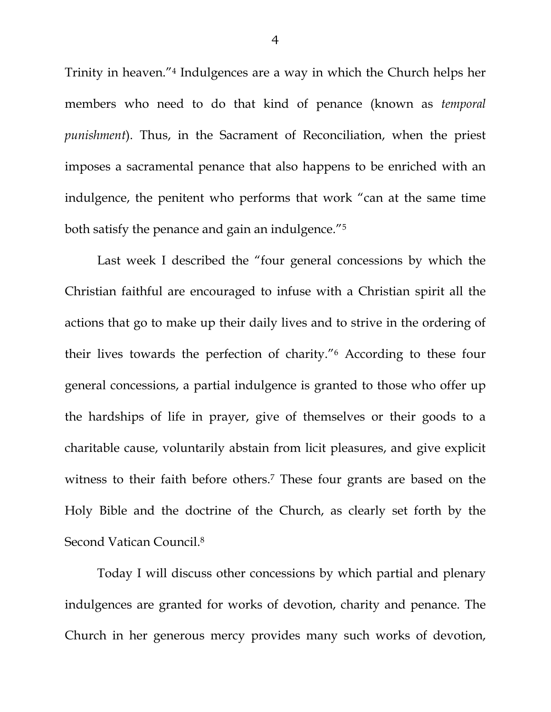Trinity in heaven."4 Indulgences are a way in which the Church helps her members who need to do that kind of penance (known as *temporal punishment*). Thus, in the Sacrament of Reconciliation, when the priest imposes a sacramental penance that also happens to be enriched with an indulgence, the penitent who performs that work "can at the same time both satisfy the penance and gain an indulgence."5

Last week I described the "four general concessions by which the Christian faithful are encouraged to infuse with a Christian spirit all the actions that go to make up their daily lives and to strive in the ordering of their lives towards the perfection of charity."6 According to these four general concessions, a partial indulgence is granted to those who offer up the hardships of life in prayer, give of themselves or their goods to a charitable cause, voluntarily abstain from licit pleasures, and give explicit witness to their faith before others.<sup>7</sup> These four grants are based on the Holy Bible and the doctrine of the Church, as clearly set forth by the Second Vatican Council.<sup>8</sup>

Today I will discuss other concessions by which partial and plenary indulgences are granted for works of devotion, charity and penance. The Church in her generous mercy provides many such works of devotion,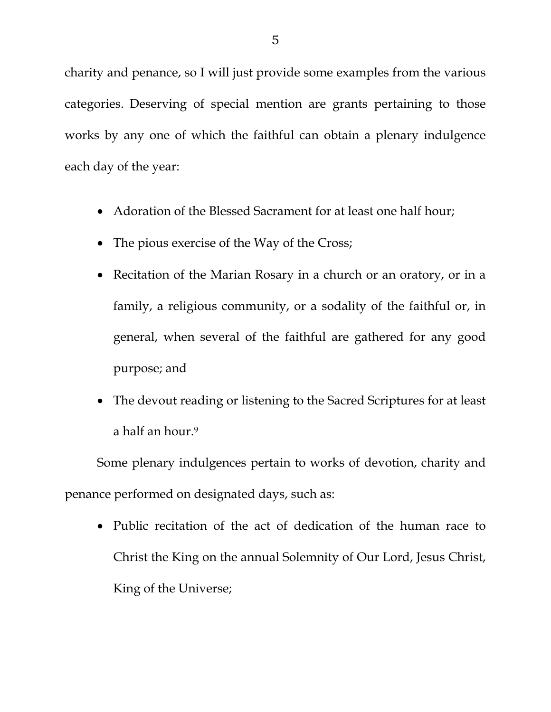charity and penance, so I will just provide some examples from the various categories. Deserving of special mention are grants pertaining to those works by any one of which the faithful can obtain a plenary indulgence each day of the year:

- Adoration of the Blessed Sacrament for at least one half hour;
- The pious exercise of the Way of the Cross;
- Recitation of the Marian Rosary in a church or an oratory, or in a family, a religious community, or a sodality of the faithful or, in general, when several of the faithful are gathered for any good purpose; and
- The devout reading or listening to the Sacred Scriptures for at least a half an hour.<sup>9</sup>

 Some plenary indulgences pertain to works of devotion, charity and penance performed on designated days, such as:

 Public recitation of the act of dedication of the human race to Christ the King on the annual Solemnity of Our Lord, Jesus Christ, King of the Universe;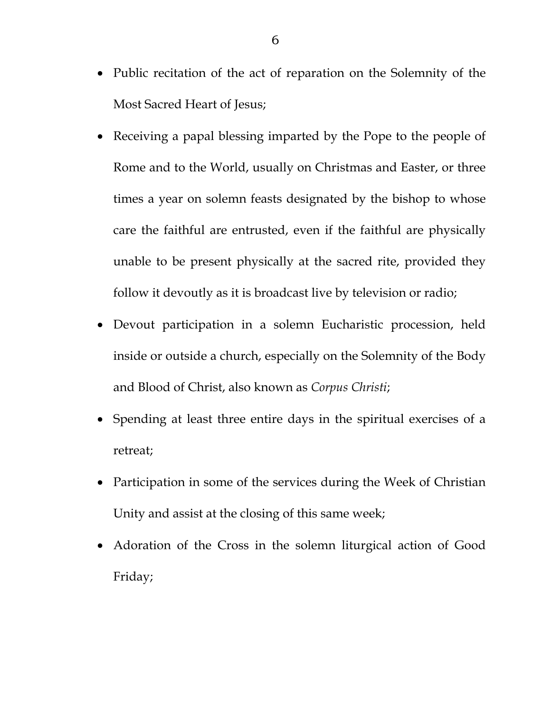- Public recitation of the act of reparation on the Solemnity of the Most Sacred Heart of Jesus;
- Receiving a papal blessing imparted by the Pope to the people of Rome and to the World, usually on Christmas and Easter, or three times a year on solemn feasts designated by the bishop to whose care the faithful are entrusted, even if the faithful are physically unable to be present physically at the sacred rite, provided they follow it devoutly as it is broadcast live by television or radio;
- Devout participation in a solemn Eucharistic procession, held inside or outside a church, especially on the Solemnity of the Body and Blood of Christ, also known as *Corpus Christi*;
- Spending at least three entire days in the spiritual exercises of a retreat;
- Participation in some of the services during the Week of Christian Unity and assist at the closing of this same week;
- Adoration of the Cross in the solemn liturgical action of Good Friday;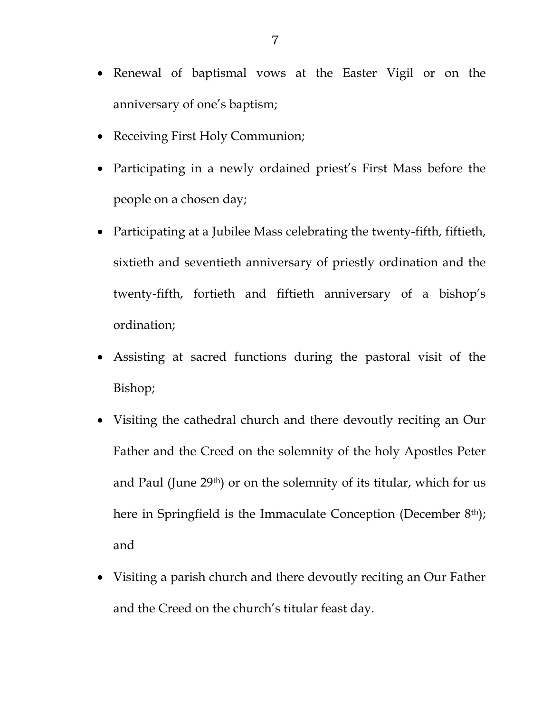- Renewal of baptismal vows at the Easter Vigil or on the anniversary of one's baptism;
- Receiving First Holy Communion;
- Participating in a newly ordained priest's First Mass before the people on a chosen day;
- Participating at a Jubilee Mass celebrating the twenty-fifth, fiftieth, sixtieth and seventieth anniversary of priestly ordination and the twenty-fifth, fortieth and fiftieth anniversary of a bishop's ordination;
- Assisting at sacred functions during the pastoral visit of the Bishop;
- Visiting the cathedral church and there devoutly reciting an Our Father and the Creed on the solemnity of the holy Apostles Peter and Paul (June 29th) or on the solemnity of its titular, which for us here in Springfield is the Immaculate Conception (December 8<sup>th</sup>); and
- Visiting a parish church and there devoutly reciting an Our Father and the Creed on the church's titular feast day.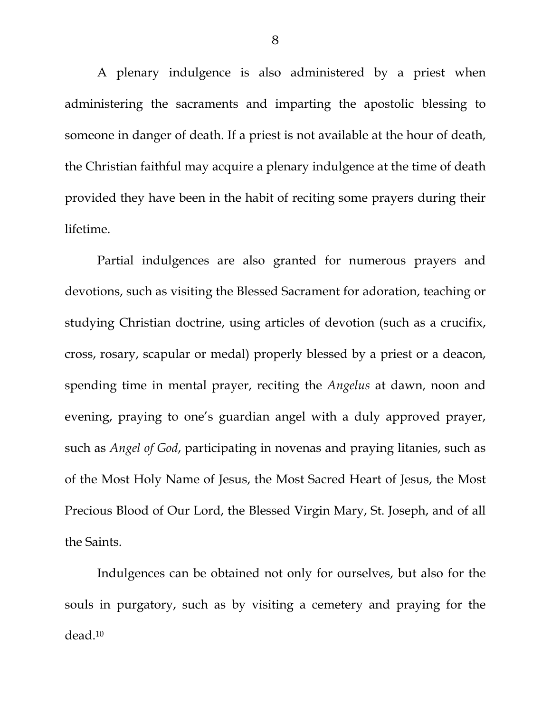A plenary indulgence is also administered by a priest when administering the sacraments and imparting the apostolic blessing to someone in danger of death. If a priest is not available at the hour of death, the Christian faithful may acquire a plenary indulgence at the time of death provided they have been in the habit of reciting some prayers during their lifetime.

Partial indulgences are also granted for numerous prayers and devotions, such as visiting the Blessed Sacrament for adoration, teaching or studying Christian doctrine, using articles of devotion (such as a crucifix, cross, rosary, scapular or medal) properly blessed by a priest or a deacon, spending time in mental prayer, reciting the *Angelus* at dawn, noon and evening, praying to one's guardian angel with a duly approved prayer, such as *Angel of God*, participating in novenas and praying litanies, such as of the Most Holy Name of Jesus, the Most Sacred Heart of Jesus, the Most Precious Blood of Our Lord, the Blessed Virgin Mary, St. Joseph, and of all the Saints.

Indulgences can be obtained not only for ourselves, but also for the souls in purgatory, such as by visiting a cemetery and praying for the dead.10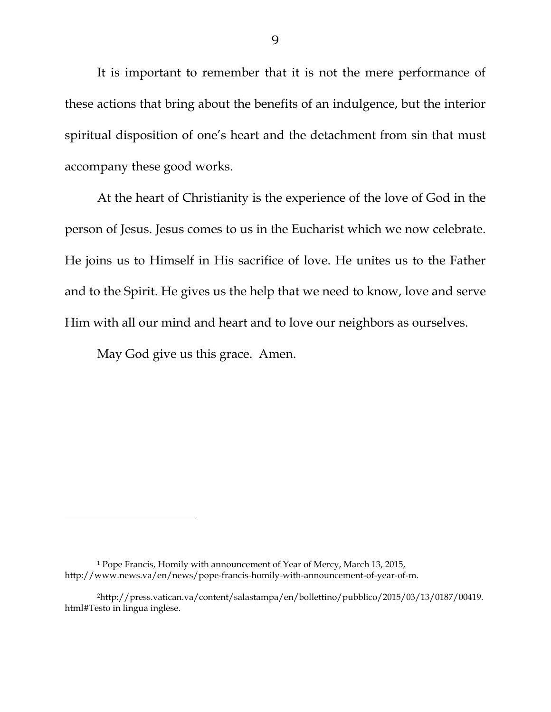It is important to remember that it is not the mere performance of these actions that bring about the benefits of an indulgence, but the interior spiritual disposition of one's heart and the detachment from sin that must accompany these good works.

At the heart of Christianity is the experience of the love of God in the person of Jesus. Jesus comes to us in the Eucharist which we now celebrate. He joins us to Himself in His sacrifice of love. He unites us to the Father and to the Spirit. He gives us the help that we need to know, love and serve Him with all our mind and heart and to love our neighbors as ourselves.

May God give us this grace. Amen.

 $\overline{a}$ 

<sup>1</sup> Pope Francis, Homily with announcement of Year of Mercy, March 13, 2015, http://www.news.va/en/news/pope-francis-homily-with-announcement-of-year-of-m.

<sup>2</sup>http://press.vatican.va/content/salastampa/en/bollettino/pubblico/2015/03/13/0187/00419. html#Testo in lingua inglese.